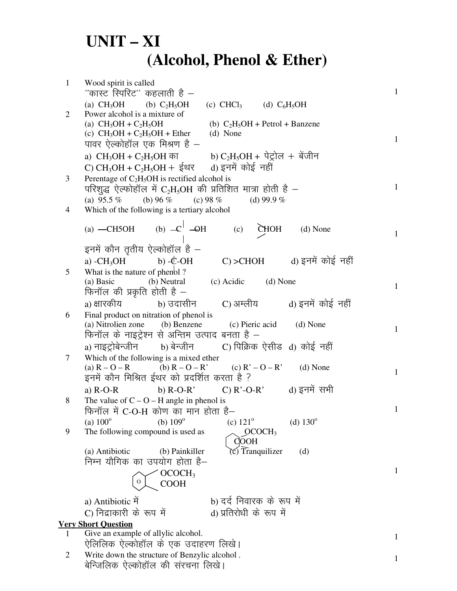## $UNIT - XI$ (Alcohol, Phenol & Ether)

| $\mathbf{1}$   | Wood spirit is called<br>''कास्ट स्पिरिट'' कहलाती है —                                                                 | $\mathbf{1}$ |
|----------------|------------------------------------------------------------------------------------------------------------------------|--------------|
|                | (a) CH <sub>3</sub> OH (b) C <sub>2</sub> H <sub>5</sub> OH (c) CHCl <sub>3</sub> (d) C <sub>6</sub> H <sub>5</sub> OH |              |
| $\overline{2}$ | Power alcohol is a mixture of                                                                                          |              |
|                | (b) $C_2H_5OH$ + Petrol + Banzene<br>(a) $CH_3OH + C_2H_5OH$                                                           |              |
|                | (c) $CH_3OH + C_2H_5OH + Ether$ (d) None                                                                               |              |
|                | पावर ऐल्कोहॉल एक मिश्रण है –                                                                                           | $\mathbf{1}$ |
|                | a) $CH_3OH + C_2H_5OH$ का b) $C_2H_5OH + \dot{q} \dot{g}$ लि + बेंजीन                                                  |              |
|                |                                                                                                                        |              |
| 3              | Perentage of $C_2H_5OH$ is rectified alcohol is                                                                        |              |
|                | परिशुद्ध ऐल्फोहॉल में $C_2H_5OH$ की प्रतिशित मात्रा होती है –                                                          | $\mathbf{1}$ |
|                |                                                                                                                        |              |
|                | (a) $95.5\%$ (b) $96\%$ (c) $98\%$<br>(d) 99.9 $%$                                                                     |              |
| 4              | Which of the following is a tertiary alcohol                                                                           |              |
|                | (a) $-CH5OH$ (b) $-C\frac{1}{1}$ $-OH$ (c) $\sum$ MOH<br>(d) None                                                      | $\mathbf{1}$ |
|                | इनमें कौन तृतीय ऐल्कोहॉल है -                                                                                          |              |
|                | C) >CHOH              d) इनमें कोई नहीं<br>a) $-CH_3OH$ b) $-CDH$                                                      |              |
| 5              | What is the nature of phenbl?                                                                                          |              |
|                | (b) Neutral (c) Acidic (d) None<br>(a) Basic                                                                           |              |
|                | फिनॉल की प्रकृति होती है -                                                                                             | $\mathbf{1}$ |
|                | a) क्षारकीय           b) उदासीन       C) अम्लीय         d) इनमें कोई नहीं                                              |              |
| 6              | Final product on nitration of phenol is                                                                                |              |
|                | (a) Nitrolien zone (b) Benzene (c) Pieric acid (d) None                                                                |              |
|                | फिनॉल के नाइट्रेश्न से अन्तिम उत्पाद बनता है –                                                                         | $\mathbf{1}$ |
|                | a) नाइट्रोबेन्जीन       b) बेन्जीन         C) पिक्रिक ऐसीड  d) कोई नहीं                                                |              |
| 7              | Which of the following is a mixed ether                                                                                |              |
|                | (a) $R - O - R$ (b) $R - O - R'$ (c) $R' - O - R'$ (d) None                                                            |              |
|                | इनमें कौन मिश्रित ईथर को प्रदर्शित करता है ?                                                                           | $\mathbf{1}$ |
|                |                                                                                                                        |              |
|                | a) R-O-R b) R-O-R' C) R'-O-R' d) इनमें सभी                                                                             |              |
| 8              | The value of $C - O - H$ angle in phenol is                                                                            | $\mathbf{1}$ |
|                | फिनॉल में C-O-H कोण का मान होता है–                                                                                    |              |
|                | (b) $109^\circ$<br>(d) $130^{\circ}$<br>(a) $100^{\circ}$<br>(c) $121^{\circ}$                                         |              |
| 9              | The following compound is used as<br>OCOCH <sub>3</sub><br>COOH                                                        |              |
|                | $\circ$ ) Tranquilizer<br>(a) Antibiotic<br>(b) Painkiller<br>(d)                                                      |              |
|                | निम्न यौगिक का उपयोग होता है–                                                                                          |              |
|                | OCOCH <sub>3</sub>                                                                                                     | $\mathbf{1}$ |
|                | 0<br><b>COOH</b>                                                                                                       |              |
|                | b) दर्द निवारक के रूप में<br>a) Antibiotic में                                                                         |              |
|                | d) प्रतिरोधी के रूप में<br>C) निद्राकारी के रूप में                                                                    |              |
|                | <b>Very Short Question</b>                                                                                             |              |
| 1              | Give an example of allylic alcohol.                                                                                    |              |
|                | ऐलिलिक ऐल्कोहॉल के एक उदाहरण लिखे।                                                                                     | $\mathbf{1}$ |
| $\overline{2}$ | Write down the structure of Benzylic alcohol.                                                                          |              |
|                | बेन्जिलिक ऐल्कोहॉल की संरचना लिखे।                                                                                     | $\mathbf{1}$ |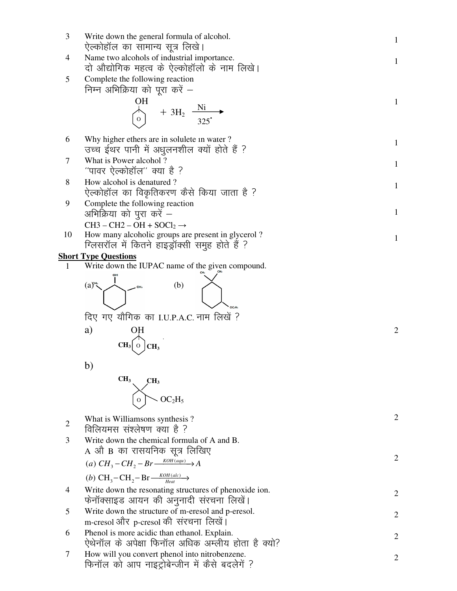| 3              | Write down the general formula of alcohol.<br>ऐल्कोहॉल का सामान्य सूत्र लिखे।                                                                | $\mathbf{1}$   |
|----------------|----------------------------------------------------------------------------------------------------------------------------------------------|----------------|
| 4              | Name two alcohols of industrial importance.<br>दो औद्योगिक महत्व के ऐल्कोहॉलो के नाम लिखे।                                                   | $\mathbf{1}$   |
| 5              | Complete the following reaction<br>निम्न अभिक्रिया को पूरा करें –                                                                            |                |
|                | OН<br>+ $3H_2 \frac{N_1}{325}$                                                                                                               | $\mathbf{1}$   |
| 6              | Why higher ethers are in solulete in water?<br>उच्च ईथर पानी में अधुलनशील क्यों होते हैं ?                                                   | $\mathbf{1}$   |
| 7              | What is Power alcohol?<br>''पावर ऐल्कोहॉल'' क्या है ?                                                                                        | 1              |
| 8              | How alcohol is denatured?<br>ऐल्कोहॉल का विकृतिकरण कैसे किया जाता है ?                                                                       | $\mathbf{1}$   |
| 9              | Complete the following reaction<br>अभिक्रिया को पुरा करें –                                                                                  | $\mathbf{1}$   |
| 10             | $CH3 - CH2 - OH + SOCl2 \rightarrow$<br>How many alcoholic groups are present in glycerol?<br>ग्लिसरॉल में कितने हाइड्रॉक्सी समुह होते हैं ? | $\mathbf{1}$   |
|                | <b>Short Type Questions</b>                                                                                                                  |                |
| 1              | Write down the IUPAC name of the given compound.                                                                                             |                |
|                | (a)<br>(b)<br>दिए गए यौगिक का I.U.P.A.C. नाम लिखें ?<br>a)<br>CH <sub>3</sub><br>CH <sub>3</sub><br>$\circ$                                  | 2              |
|                | b)<br>CH <sub>3</sub><br>CH <sub>3</sub><br>OC <sub>2</sub> H <sub>5</sub>                                                                   |                |
| $\overline{2}$ | What is Williamsons synthesis?                                                                                                               | $\overline{2}$ |
| 3              | विलियमस संश्लेषण क्या है ?<br>Write down the chemical formula of A and B.<br>A औ B का रासयनिक सूत्र लिखिए                                    | $\overline{2}$ |
|                | (a) $CH_3-CH_2-Br\frac{KOH(aqu)}{2}A$<br>(b) $CH_3-CH_2-Br\frac{KOH(alc)}{Heat}$                                                             |                |
| 4              | Write down the resonating structures of phenoxide ion.<br>फेनॉक्साइड आयन की अनुनादी संरचना लिखें।                                            | $\overline{2}$ |
| 5              | Write down the structure of m-eresol and p-eresol.<br>m-cresol और p-cresol की संरचना लिखें।                                                  | $\overline{2}$ |
| 6              | Phenol is more acidic than ethanol. Explain.<br>ऐथेनॉल के अपेक्षा फिनॉल अधिक अम्लीय होता है क्यो?                                            | $\overline{2}$ |
| 7              | How will you convert phenol into nitrobenzene.<br>फिनॉल को आप नाइट्रोबेन्जीन में कैसे बदलेगें ?                                              | $\overline{2}$ |
|                |                                                                                                                                              |                |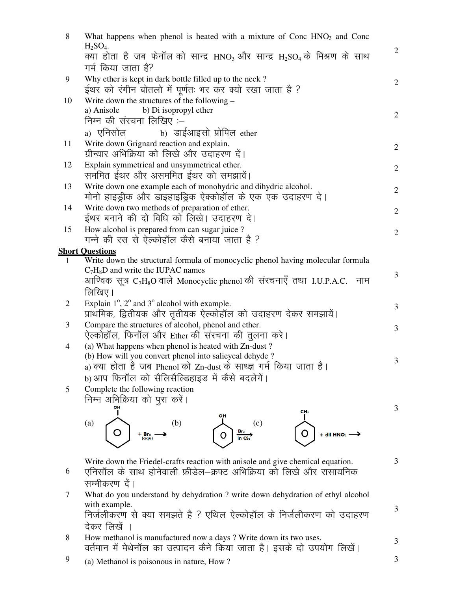| 8              | What happens when phenol is heated with a mixture of Conc HNO <sub>3</sub> and Conc                      |                |
|----------------|----------------------------------------------------------------------------------------------------------|----------------|
|                | $H2SO4$ .<br>क्या होता है जब फेनॉल को सान्द्र HNO3 और सान्द्र H2SO4 के मिश्रण के साथ                     | $\mathbf{2}$   |
|                | गर्म किया जाता है?                                                                                       |                |
| 9              | Why ether is kept in dark bottle filled up to the neck?                                                  |                |
|                | ईथर को रंगीन बोतलो में पूर्णतः भर कर क्यो रखा जाता है ?                                                  | $\overline{2}$ |
| 10             | Write down the structures of the following $-$                                                           |                |
|                | b) Di isopropyl ether<br>a) Anisole                                                                      | $\mathbf{2}$   |
|                | निम्न की संरचना लिखिए :–                                                                                 |                |
|                | b) डाईआइसो प्रोपिल ether<br><sub>a)</sub> एनिसोल                                                         |                |
| 11             | Write down Grignard reaction and explain.                                                                | $\overline{2}$ |
|                | ग्रीन्यार अभिक्रिया को लिखे और उदाहरण दें।                                                               |                |
| 12             | Explain symmetrical and unsymmetrical ether.                                                             | $\mathbf{2}$   |
|                | सममित ईथर और असममित ईथर को समझावें।                                                                      |                |
| 13             | Write down one example each of monohydric and dihydric alcohol.                                          | $\overline{2}$ |
|                | मोनो हाइड्रीक और डाइहाइड्रिक ऐक्कोहॉल के एक एक उदाहरण दे।                                                |                |
| 14             | Write down two methods of preparation of ether.<br>ईथर बनाने की दो विधि को लिखे। उदाहरण दे।              | $\mathbf{2}$   |
| 15             | How alcohol is prepared from can sugar juice?                                                            |                |
|                | गन्ने की रस से ऐल्कोहॉल कैसे बनाया जाता है ?                                                             | $\overline{2}$ |
|                | <b>Short Questions</b>                                                                                   |                |
| 1              | Write down the structural formula of monocyclic phenol having molecular formula                          |                |
|                | $C_7H_8D$ and write the IUPAC names                                                                      | 3              |
|                | आण्विक सूत्र $\rm C_7H_8O$ वाले Monocyclic phenol की संरचनाएँ तथा I.U.P.A.C.<br>नाम                      |                |
|                | लिखिए।                                                                                                   |                |
| $\overline{2}$ | Explain $1^\circ$ , $2^\circ$ and $3^\circ$ alcohol with example.                                        | 3              |
|                | प्राथमिक, द्वितीयक और तृतीयक ऐल्कोहॉल को उदाहरण देकर समझायें।                                            |                |
| 3              | Compare the structures of alcohol, phenol and ether.                                                     | 3              |
| 4              | ऐल्कोहॉल, फिनॉल और Ether की संरचना की तुलना करे।<br>(a) What happens when phenol is heated with Zn-dust? |                |
|                | (b) How will you convert phenol into salieycal dehyde?                                                   |                |
|                | a) क्या होता है जब Phenol को Zn-dust के साथ्ज्ञ गर्म किया जाता है।                                       | 3              |
|                | b) आप फिनॉल को सैलिसैल्डिहाइड में कैसे बदलेगें।                                                          |                |
| 5              | Complete the following reaction                                                                          |                |
|                | निम्न अभिक्रिया को पुरा करें।                                                                            |                |
|                | OН<br>CH <sub>3</sub><br>он                                                                              | 3              |
|                | (b)<br>(c)<br>(a)                                                                                        |                |
|                | + dil HNO3<br>+ Br2<br>$in \mathsf{CS}$<br>(aqu)                                                         |                |
|                |                                                                                                          |                |
|                | Write down the Friedel-crafts reaction with anisole and give chemical equation.                          | 3              |
| 6              | एनिसॉल के साथ होनेवाली फ्रीडेल—क्रफ्ट अभिक्रिया को लिखे और रासायनिक                                      |                |
|                | सम्मीकरण दें।                                                                                            |                |
| 7              | What do you understand by dehydration ? write down dehydration of ethyl alcohol                          |                |
|                | with example.                                                                                            | 3              |
|                | निर्जलीकरण से क्या समझते है ? एथिल ऐल्कोहॉल के निर्जलीकरण को उदाहरण                                      |                |
|                | देकर लिखें ।                                                                                             |                |
| 8              | How methanol is manufactured now a days ? Write down its two uses.                                       | 3              |
|                | वर्तमान में मेथेनॉल का उत्पादन कैने किया जाता है। इसके दो उपयोग लिखें।                                   |                |
| 9              | (a) Methanol is poisonous in nature, How?                                                                | 3              |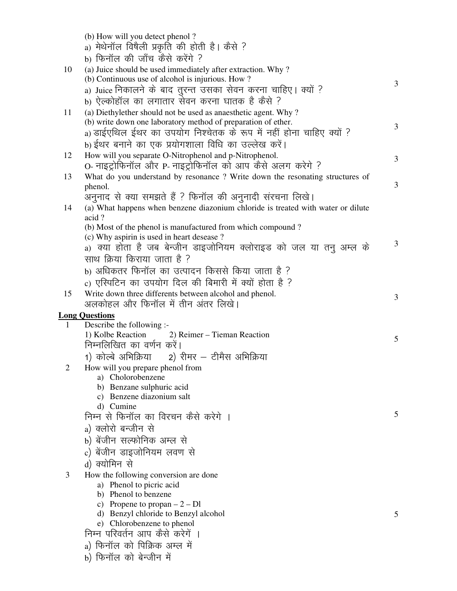|                | (b) How will you detect phenol?                                                  |   |
|----------------|----------------------------------------------------------------------------------|---|
|                | a) मेथेनॉल विषैली प्रकृति की होती है। कैसे ?                                     |   |
|                | b) फिनॉल की जाँच कैसे करेंगे ?                                                   |   |
| 10             | (a) Juice should be used immediately after extraction. Why?                      |   |
|                | (b) Continuous use of alcohol is injurious. How?                                 |   |
|                | a) Juice निकालने के बाद तुरन्त उसका सेवन करना चाहिए। क्यों ?                     | 3 |
|                | b) ऐल्कोहॉल का लगातार सेवन करना घातक है कैसे ?                                   |   |
| 11             | (a) Diethylether should not be used as anaesthetic agent. Why?                   |   |
|                | (b) write down one laboratory method of preparation of ether.                    |   |
|                | a) डाईएथिल ईथर का उपयोग निश्चेतक के रूप में नहीं होना चाहिए क्यों ?              | 3 |
|                | b) ईथर बनाने का एक प्रयोगशाला विधि का उल्लेख करें।                               |   |
| 12             | How will you separate O-Nitrophenol and p-Nitrophenol.                           |   |
|                | O- नाइट्रोफिनॉल और P- नाइट्रोफिनॉल को आप कैसे अलग करेगे ?                        | 3 |
| 13             | What do you understand by resonance? Write down the resonating structures of     |   |
|                | phenol.                                                                          | 3 |
|                | अनुनाद से क्या समझते हैं ? फिनॉल की अनुनादी संरचना लिखे।                         |   |
| 14             | (a) What happens when benzene diazonium chloride is treated with water or dilute |   |
|                | acid?                                                                            |   |
|                | (b) Most of the phenol is manufactured from which compound?                      |   |
|                | (c) Why aspirin is used in heart desease?                                        | 3 |
|                | a) क्या होता है जब बेन्जीन डाइजोनियम क्लोराइड को जल या तनु अम्ल के               |   |
|                | साथ क्रिया किराया जाता है ?                                                      |   |
|                | b) अधिकतर फिनॉल का उत्पादन किससे किया जाता है ?                                  |   |
|                | c) एस्पिटिन का उपयोग दिल की बिमारी में क्यों होता है ?                           |   |
| 15             | Write down three differents between alcohol and phenol.                          | 3 |
|                | अलकोहल और फिनॉल में तीन अंतर लिखे।                                               |   |
|                | <b>Long Questions</b>                                                            |   |
| 1              | Describe the following :-                                                        |   |
|                | 1) Kolbe Reaction 2) Reimer – Tieman Reaction                                    | 5 |
|                | निम्नलिखित का वर्णन करें।                                                        |   |
|                | 1) कोल्बे अभिक्रिया      2) रीमर – टीमैस अभिक्रिया                               |   |
| $\overline{2}$ | How will you prepare phenol from                                                 |   |
|                | a) Cholorobenzene                                                                |   |
|                | b) Benzane sulphuric acid<br>c) Benzene diazonium salt                           |   |
|                | d) Cumine                                                                        |   |
|                | निम्न से फिनॉल का विरचन कैसे करेगे ।                                             | 5 |
|                | a) क्लोरो बन्जीन से                                                              |   |
|                | b) बेंजीन सल्फोनिक अम्ल से                                                       |   |
|                | c) बेंजीन डाइजोनियम लवण से                                                       |   |
|                | d) क्योमिन से                                                                    |   |
|                |                                                                                  |   |
| 3              | How the following conversion are done<br>a) Phenol to picric acid                |   |
|                | b) Phenol to benzene                                                             |   |
|                | c) Propene to propan $-2$ – Dl                                                   |   |
|                | d) Benzyl chloride to Benzyl alcohol                                             | 5 |
|                | e) Chlorobenzene to phenol                                                       |   |
|                | निम्न परिवर्तन आप कैसे करेगें ।                                                  |   |
|                | a) फिनॉल को पिक्रिक अम्ल में                                                     |   |
|                | b) फिनॉल को बेन्जीन में                                                          |   |